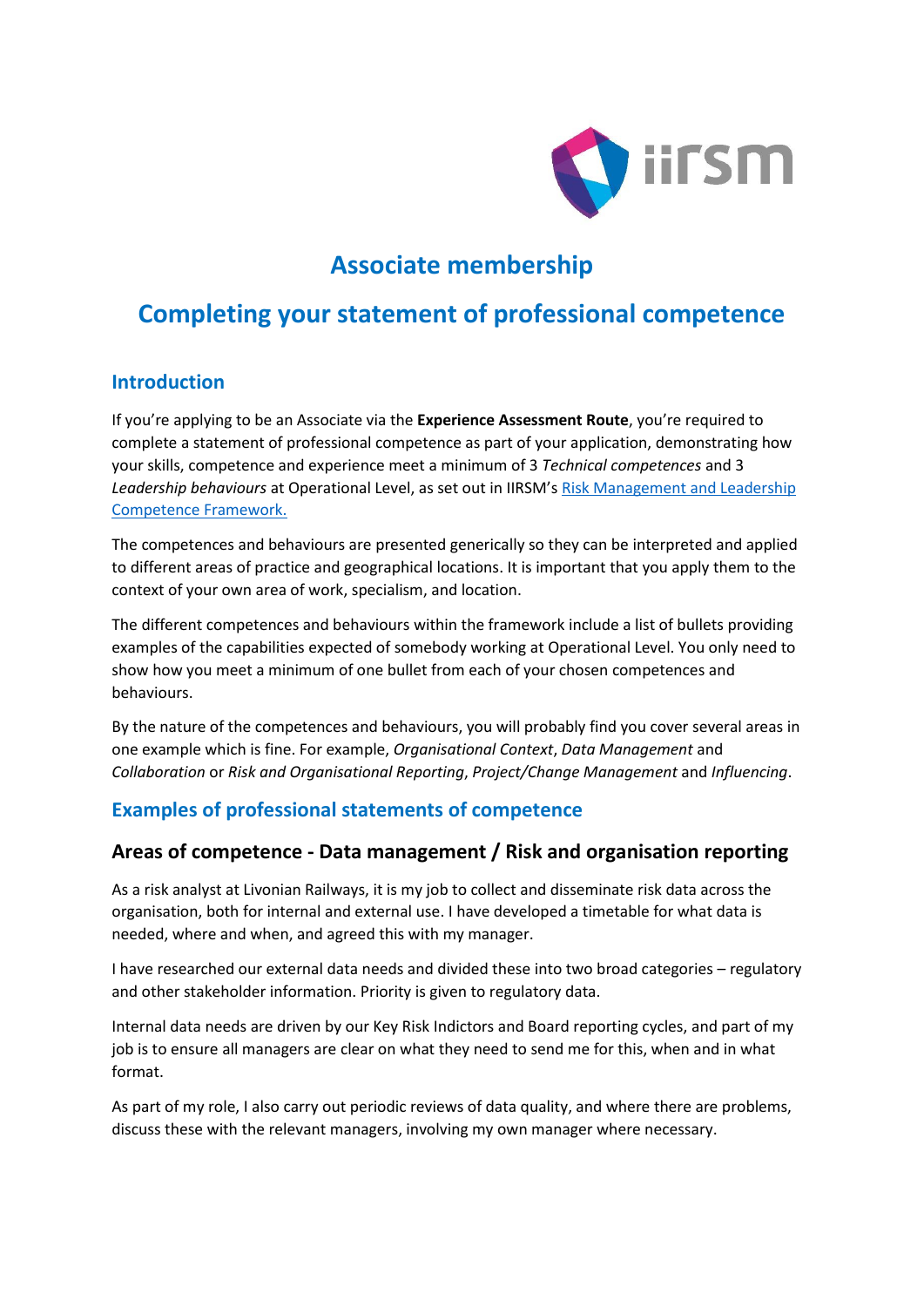

# **Associate membership**

## **Completing your statement of professional competence**

### **Introduction**

If you're applying to be an Associate via the **Experience Assessment Route**, you're required to complete a statement of professional competence as part of your application, demonstrating how your skills, competence and experience meet a minimum of 3 *Technical competences* and 3 *Leadership behaviours* at Operational Level, as set out in IIRSM's [Risk Management and Leadership](https://www.iirsm.org/risk-management-and-leadership-competence-framework)  [Competence Framework.](https://www.iirsm.org/risk-management-and-leadership-competence-framework)

The competences and behaviours are presented generically so they can be interpreted and applied to different areas of practice and geographical locations. It is important that you apply them to the context of your own area of work, specialism, and location.

The different competences and behaviours within the framework include a list of bullets providing examples of the capabilities expected of somebody working at Operational Level. You only need to show how you meet a minimum of one bullet from each of your chosen competences and behaviours.

By the nature of the competences and behaviours, you will probably find you cover several areas in one example which is fine. For example, *Organisational Context*, *Data Management* and *Collaboration* or *Risk and Organisational Reporting*, *Project/Change Management* and *Influencing*.

## **Examples of professional statements of competence**

### **Areas of competence - Data management / Risk and organisation reporting**

As a risk analyst at Livonian Railways, it is my job to collect and disseminate risk data across the organisation, both for internal and external use. I have developed a timetable for what data is needed, where and when, and agreed this with my manager.

I have researched our external data needs and divided these into two broad categories – regulatory and other stakeholder information. Priority is given to regulatory data.

Internal data needs are driven by our Key Risk Indictors and Board reporting cycles, and part of my job is to ensure all managers are clear on what they need to send me for this, when and in what format.

As part of my role, I also carry out periodic reviews of data quality, and where there are problems, discuss these with the relevant managers, involving my own manager where necessary.